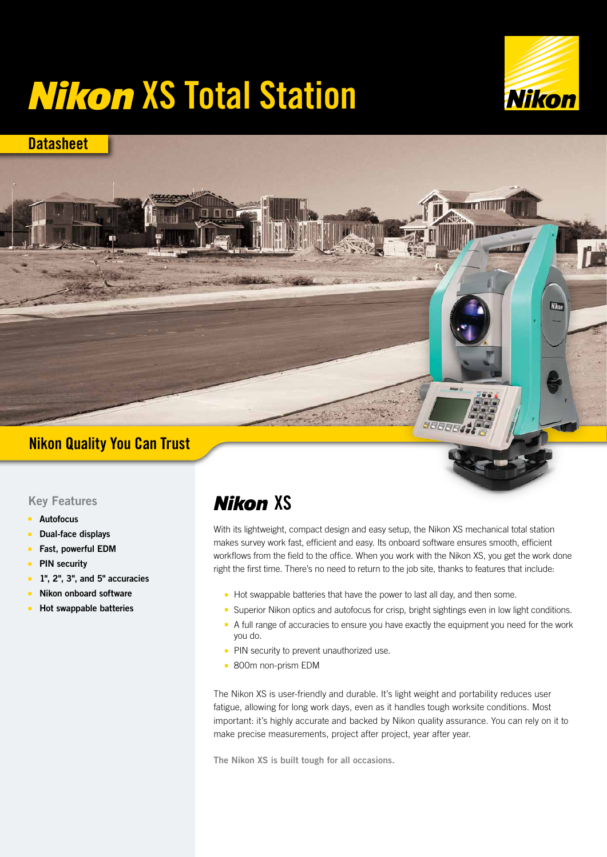# **Nikon XS Total Station**



# **Datasheet Nikor**

### Nikon Quality You Can Trust

#### Key Features

- Autofocus
- Dual-face displays
- Fast, powerful EDM
- PIN security
- 1", 2", 3", and 5" accuracies
- Nikon onboard software
- Hot swappable batteries

# **Nikon XS**

With its lightweight, compact design and easy setup, the Nikon XS mechanical total station makes survey work fast, efficient and easy. Its onboard software ensures smooth, efficient workflows from the field to the office. When you work with the Nikon XS, you get the work done right the first time. There's no need to return to the job site, thanks to features that include:

- Hot swappable batteries that have the power to last all day, and then some.
- Superior Nikon optics and autofocus for crisp, bright sightings even in low light conditions.
- A full range of accuracies to ensure you have exactly the equipment you need for the work you do.
- PIN security to prevent unauthorized use.
- 800m non-prism EDM

The Nikon XS is user-friendly and durable. It's light weight and portability reduces user fatigue, allowing for long work days, even as it handles tough worksite conditions. Most important: it's highly accurate and backed by Nikon quality assurance. You can rely on it to make precise measurements, project after project, year after year.

The Nikon XS is built tough for all occasions.